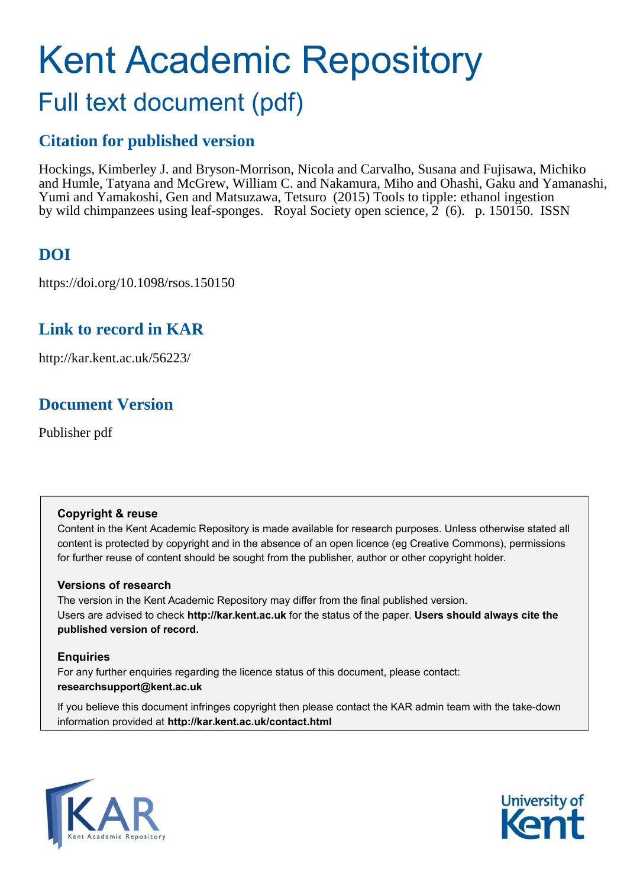# Kent Academic Repository Full text document (pdf)

## **Citation for published version**

Hockings, Kimberley J. and Bryson-Morrison, Nicola and Carvalho, Susana and Fujisawa, Michiko and Humle, Tatyana and McGrew, William C. and Nakamura, Miho and Ohashi, Gaku and Yamanashi, Yumi and Yamakoshi, Gen and Matsuzawa, Tetsuro (2015) Tools to tipple: ethanol ingestion by wild chimpanzees using leaf-sponges. Royal Society open science, 2 (6). p. 150150. ISSN

## **DOI**

https://doi.org/10.1098/rsos.150150

## **Link to record in KAR**

http://kar.kent.ac.uk/56223/

## **Document Version**

Publisher pdf

### **Copyright & reuse**

Content in the Kent Academic Repository is made available for research purposes. Unless otherwise stated all content is protected by copyright and in the absence of an open licence (eg Creative Commons), permissions for further reuse of content should be sought from the publisher, author or other copyright holder.

### **Versions of research**

The version in the Kent Academic Repository may differ from the final published version. Users are advised to check **http://kar.kent.ac.uk** for the status of the paper. **Users should always cite the published version of record.**

### **Enquiries**

For any further enquiries regarding the licence status of this document, please contact: **researchsupport@kent.ac.uk**

If you believe this document infringes copyright then please contact the KAR admin team with the take-down information provided at **http://kar.kent.ac.uk/contact.html**



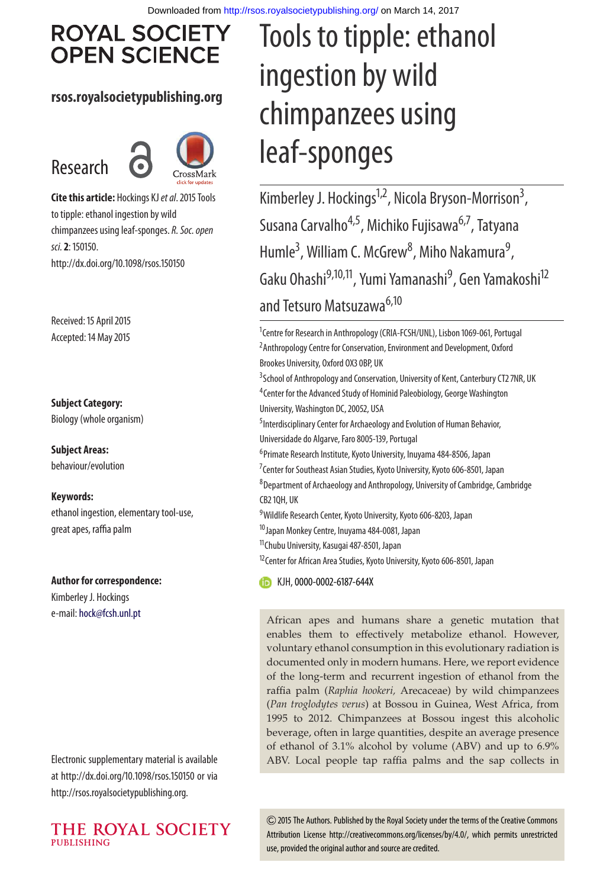## **ROYAL SOCIETY OPEN SCIENCE**

### **rsos.royalsocietypublishing.org**

## Research



**Cite this article:** Hockings KJ et al. 2015 Tools to tipple: ethanol ingestion by wild chimpanzees using leaf-sponges. R. Soc. open sci.**2**: 150150. http://dx.doi.org/10.1098/rsos.150150

Received: 15 April 2015 Accepted: 14 May 2015

### **Subject Category:**

Biology (whole organism)

**Subject Areas:** behaviour/evolution

### **Keywords:**

ethanol ingestion, elementary tool-use, great apes, raffia palm

#### **Author for correspondence:**

Kimberley J. Hockings e-mail: [hock@fcsh.unl.pt](mailto:hock@fcsh.unl.pt)

Electronic supplementary material is available at http://dx.doi.org/10.1098/rsos.150150 or via http://rsos.royalsocietypublishing.org.



# Tools to tipple: ethanol ingestion by wild chimpanzees using leaf-sponges

Kimberley J. Hockings<sup>1,2</sup>, Nicola Bryson-Morrison<sup>3</sup>, , Susana Carvalho<sup>4,5</sup>, Michiko Fujisawa<sup>6,7</sup>, Tatyana Humle<sup>3</sup>, William C. McGrew<sup>8</sup>, Miho Nakamura<sup>9</sup> , Gaku Ohashi<sup>9,10,11</sup>, Yumi Yamanashi<sup>9</sup>, Gen Yamakoshi<sup>12</sup> and Tetsuro Matsuzawa<sup>6,10</sup>

<sup>1</sup>Centre for Research in Anthropology (CRIA-FCSH/UNL), Lisbon 1069-061, Portugal <sup>2</sup> Anthropology Centre for Conservation, Environment and Development, Oxford Brookes University, Oxford OX3 0BP, UK <sup>3</sup> School of Anthropology and Conservation, University of Kent, Canterbury CT2 7NR, UK <sup>4</sup> Center for the Advanced Study of Hominid Paleobiology, George Washington University, Washington DC, 20052, USA <sup>5</sup> Interdisciplinary Center for Archaeology and Evolution of Human Behavior, Universidade do Algarve, Faro 8005-139, Portugal <sup>6</sup> Primate Research Institute, Kyoto University, Inuyama 484-8506, Japan <sup>7</sup> Center for Southeast Asian Studies, Kyoto University, Kyoto 606-8501, Japan 8 Department of Archaeology and Anthropology, University of Cambridge, Cambridge CB2 1QH, UK <sup>9</sup>Wildlife Research Center, Kyoto University, Kyoto 606-8203, Japan <sup>10</sup> Japan Monkey Centre, Inuyama 484-0081, Japan <sup>11</sup>Chubu University, Kasugai 487-8501, Japan <sup>12</sup> Center for African Area Studies, Kyoto University, Kyoto 606-8501, Japan **CD** KJH, [0000-0002-6187-644X](http://orcid.org/0000-0002-6187-644X)

African apes and humans share a genetic mutation that enables them to effectively metabolize ethanol. However, voluntary ethanol consumption in this evolutionary radiation is documented only in modern humans. Here, we report evidence of the long-term and recurrent ingestion of ethanol from the raffia palm (*Raphia hookeri,* Arecaceae) by wild chimpanzees (*Pan troglodytes verus*) at Bossou in Guinea, West Africa, from 1995 to 2012. Chimpanzees at Bossou ingest this alcoholic beverage, often in large quantities, despite an average presence of ethanol of 3.1% alcohol by volume (ABV) and up to 6.9% ABV. Local people tap raffia palms and the sap collects in

2015 The Authors. Published by the Royal Society under the terms of the Creative Commons Attribution License http://creativecommons.org/licenses/by/4.0/, which permits unrestricted use, provided the original author and source are credited.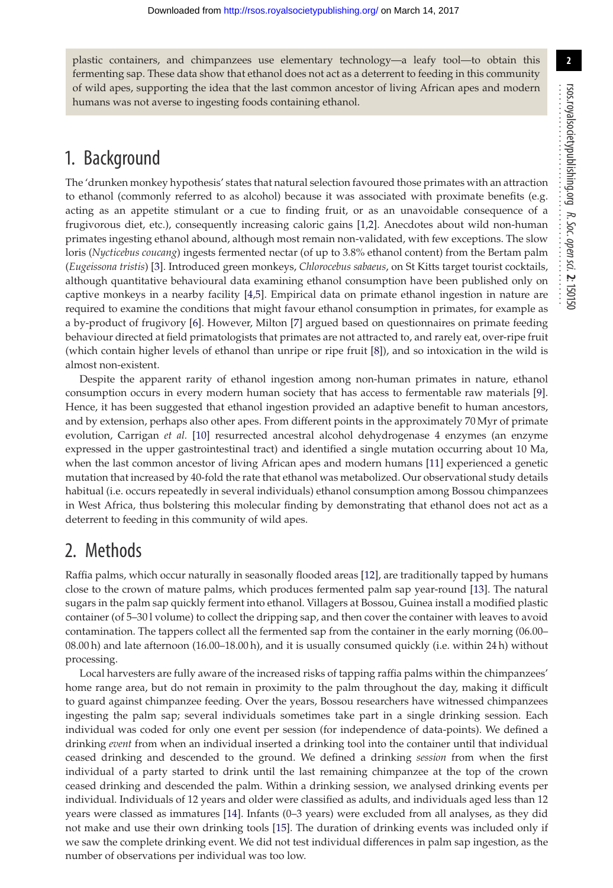plastic containers, and chimpanzees use elementary technology—a leafy tool—to obtain this fermenting sap. These data show that ethanol does not act as a deterrent to feeding in this community of wild apes, supporting the idea that the last common ancestor of living African apes and modern humans was not averse to ingesting foods containing ethanol.

## 1. Background

The 'drunken monkey hypothesis' states that natural selection favoured those primates with an attraction to ethanol (commonly referred to as alcohol) because it was associated with proximate benefits (e.g. acting as an appetite stimulant or a cue to finding fruit, or as an unavoidable consequence of a frugivorous diet, etc.), consequently increasing caloric gains [\[1,](#page-5-0)[2\]](#page-5-1). Anecdotes about wild non-human primates ingesting ethanol abound, although most remain non-validated, with few exceptions. The slow loris (*Nycticebus coucang*) ingests fermented nectar (of up to 3.8% ethanol content) from the Bertam palm (*Eugeissona tristis*) [\[3\]](#page-5-2). Introduced green monkeys, *Chlorocebus sabaeus*, on St Kitts target tourist cocktails, although quantitative behavioural data examining ethanol consumption have been published only on captive monkeys in a nearby facility [\[4,](#page-5-3)[5\]](#page-5-4). Empirical data on primate ethanol ingestion in nature are required to examine the conditions that might favour ethanol consumption in primates, for example as a by-product of frugivory [\[6\]](#page-5-5). However, Milton [\[7\]](#page-5-6) argued based on questionnaires on primate feeding behaviour directed at field primatologists that primates are not attracted to, and rarely eat, over-ripe fruit (which contain higher levels of ethanol than unripe or ripe fruit [\[8\]](#page-5-7)), and so intoxication in the wild is almost non-existent.

<span id="page-2-0"></span>Despite the apparent rarity of ethanol ingestion among non-human primates in nature, ethanol consumption occurs in every modern human society that has access to fermentable raw materials [\[9\]](#page-5-8). Hence, it has been suggested that ethanol ingestion provided an adaptive benefit to human ancestors, and by extension, perhaps also other apes. From different points in the approximately 70 Myr of primate evolution, Carrigan *et al.* [\[10\]](#page-5-9) resurrected ancestral alcohol dehydrogenase 4 enzymes (an enzyme expressed in the upper gastrointestinal tract) and identified a single mutation occurring about 10 Ma, when the last common ancestor of living African apes and modern humans [\[11\]](#page-5-10) experienced a genetic mutation that increased by 40-fold the rate that ethanol was metabolized. Our observational study details habitual (i.e. occurs repeatedly in several individuals) ethanol consumption among Bossou chimpanzees in West Africa, thus bolstering this molecular finding by demonstrating that ethanol does not act as a deterrent to feeding in this community of wild apes.

## 2. Methods

Raffia palms, which occur naturally in seasonally flooded areas [\[12\]](#page-5-11), are traditionally tapped by humans close to the crown of mature palms, which produces fermented palm sap year-round [\[13\]](#page-5-12). The natural sugars in the palm sap quickly ferment into ethanol. Villagers at Bossou, Guinea install a modified plastic container (of 5–30 l volume) to collect the dripping sap, and then cover the container with leaves to avoid contamination. The tappers collect all the fermented sap from the container in the early morning (06.00– 08.00 h) and late afternoon (16.00–18.00 h), and it is usually consumed quickly (i.e. within 24 h) without processing.

Local harvesters are fully aware of the increased risks of tapping raffia palms within the chimpanzees' home range area, but do not remain in proximity to the palm throughout the day, making it difficult to guard against chimpanzee feeding. Over the years, Bossou researchers have witnessed chimpanzees ingesting the palm sap; several individuals sometimes take part in a single drinking session. Each individual was coded for only one event per session (for independence of data-points). We defined a drinking *event* from when an individual inserted a drinking tool into the container until that individual ceased drinking and descended to the ground. We defined a drinking *session* from when the first individual of a party started to drink until the last remaining chimpanzee at the top of the crown ceased drinking and descended the palm. Within a drinking session, we analysed drinking events per individual. Individuals of 12 years and older were classified as adults, and individuals aged less than 12 years were classed as immatures [\[14\]](#page-5-13). Infants (0–3 years) were excluded from all analyses, as they did not make and use their own drinking tools [\[15\]](#page-5-14). The duration of drinking events was included only if we saw the complete drinking event. We did not test individual differences in palm sap ingestion, as the number of observations per individual was too low.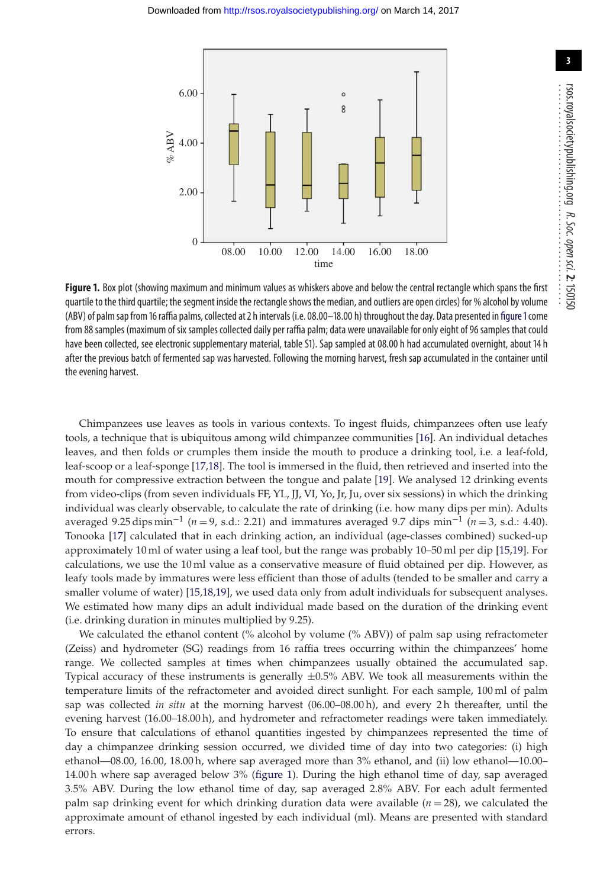

<span id="page-3-0"></span>Figure 1. Box plot (showing maximum and minimum values as whiskers above and below the central rectangle which spans the first quartile to the third quartile; the segment inside the rectangle shows the median, and outliers are open circles) for % alcohol by volume (ABV) of palm sap from 16 raffia palms, collected at 2 h intervals (i.e. 08.00–18.00 h) throughout the day. Data presented in f[igure 1](#page-2-0) come from 88 samples (maximum of six samples collected daily per raffia palm; data were unavailable for only eight of 96 samples that could have been collected, see electronic supplementary material, table S1). Sap sampled at 08.00 h had accumulated overnight, about 14 h after the previous batch of fermented sap was harvested. Following the morning harvest, fresh sap accumulated in the container until the evening harvest.

Chimpanzees use leaves as tools in various contexts. To ingest fluids, chimpanzees often use leafy tools, a technique that is ubiquitous among wild chimpanzee communities [\[16\]](#page-5-15). An individual detaches leaves, and then folds or crumples them inside the mouth to produce a drinking tool, i.e. a leaf-fold, leaf-scoop or a leaf-sponge [\[17](#page-5-16)[,18\]](#page-5-17). The tool is immersed in the fluid, then retrieved and inserted into the mouth for compressive extraction between the tongue and palate [\[19\]](#page-5-18). We analysed 12 drinking events from video-clips (from seven individuals FF, YL, JJ, VI, Yo, Jr, Ju, over six sessions) in which the drinking individual was clearly observable, to calculate the rate of drinking (i.e. how many dips per min). Adults averaged 9.25 dips min−<sup>1</sup> (*n* = 9, s.d.: 2.21) and immatures averaged 9.7 dips min−<sup>1</sup> (*n* = 3, s.d.: 4.40). Tonooka [\[17\]](#page-5-16) calculated that in each drinking action, an individual (age-classes combined) sucked-up approximately 10 ml of water using a leaf tool, but the range was probably 10–50 ml per dip [\[15,](#page-5-14)[19\]](#page-5-18). For calculations, we use the 10 ml value as a conservative measure of fluid obtained per dip. However, as leafy tools made by immatures were less efficient than those of adults (tended to be smaller and carry a smaller volume of water) [\[15](#page-5-14)[,18,](#page-5-17)[19\]](#page-5-18), we used data only from adult individuals for subsequent analyses. We estimated how many dips an adult individual made based on the duration of the drinking event (i.e. drinking duration in minutes multiplied by 9.25).

We calculated the ethanol content (% alcohol by volume (% ABV)) of palm sap using refractometer (Zeiss) and hydrometer (SG) readings from 16 raffia trees occurring within the chimpanzees' home range. We collected samples at times when chimpanzees usually obtained the accumulated sap. Typical accuracy of these instruments is generally  $\pm 0.5\%$  ABV. We took all measurements within the temperature limits of the refractometer and avoided direct sunlight. For each sample, 100 ml of palm sap was collected *in situ* at the morning harvest (06.00–08.00 h), and every 2 h thereafter, until the evening harvest (16.00–18.00 h), and hydrometer and refractometer readings were taken immediately. To ensure that calculations of ethanol quantities ingested by chimpanzees represented the time of day a chimpanzee drinking session occurred, we divided time of day into two categories: (i) high ethanol—08.00, 16.00, 18.00 h, where sap averaged more than 3% ethanol, and (ii) low ethanol—10.00– 14.00 h where sap averaged below 3% [\(figure 1\)](#page-2-0). During the high ethanol time of day, sap averaged 3.5% ABV. During the low ethanol time of day, sap averaged 2.8% ABV. For each adult fermented palm sap drinking event for which drinking duration data were available  $(n = 28)$ , we calculated the approximate amount of ethanol ingested by each individual (ml). Means are presented with standard errors.

rsos.royalsocietypublishing.org

R. Soc. open sci.

................................................

**2**: 150150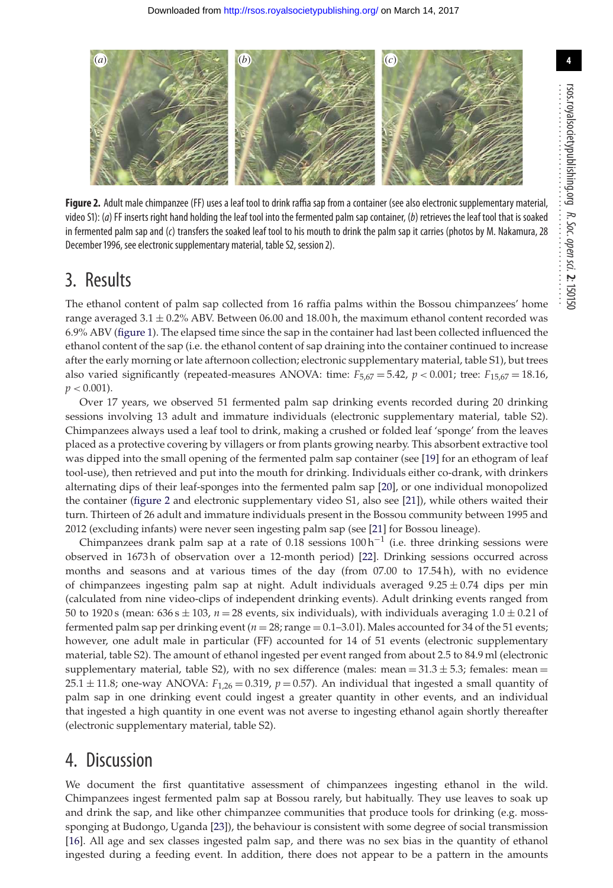

Figure 2. Adult male chimpanzee (FF) uses a leaf tool to drink raffia sap from a container (see also electronic supplementary material, video S1): (a) FF inserts right hand holding the leaf tool into the fermented palm sap container, (b) retrieves the leaf tool that is soaked in fermented palm sap and (c) transfers the soaked leaf tool to his mouth to drink the palm sap it carries (photos by M. Nakamura, 28 December 1996, see electronic supplementary material, table S2, session 2).

## 3. Results

The ethanol content of palm sap collected from 16 raffia palms within the Bossou chimpanzees' home range averaged  $3.1 \pm 0.2\%$  ABV. Between 06.00 and 18.00 h, the maximum ethanol content recorded was 6.9% ABV [\(figure 1\)](#page-2-0). The elapsed time since the sap in the container had last been collected influenced the ethanol content of the sap (i.e. the ethanol content of sap draining into the container continued to increase after the early morning or late afternoon collection; electronic supplementary material, table S1), but trees also varied significantly (repeated-measures ANOVA: time:  $F_{5,67} = 5.42$ ,  $p < 0.001$ ; tree:  $F_{15,67} = 18.16$ ,  $p < 0.001$ ).

Over 17 years, we observed 51 fermented palm sap drinking events recorded during 20 drinking sessions involving 13 adult and immature individuals (electronic supplementary material, table S2). Chimpanzees always used a leaf tool to drink, making a crushed or folded leaf 'sponge' from the leaves placed as a protective covering by villagers or from plants growing nearby. This absorbent extractive tool was dipped into the small opening of the fermented palm sap container (see [\[19\]](#page-5-18) for an ethogram of leaf tool-use), then retrieved and put into the mouth for drinking. Individuals either co-drank, with drinkers alternating dips of their leaf-sponges into the fermented palm sap [\[20\]](#page-5-19), or one individual monopolized the container [\(figure 2](#page-3-0) and electronic supplementary video S1, also see [\[21\]](#page-5-20)), while others waited their turn. Thirteen of 26 adult and immature individuals present in the Bossou community between 1995 and 2012 (excluding infants) were never seen ingesting palm sap (see [\[21\]](#page-5-20) for Bossou lineage).

Chimpanzees drank palm sap at a rate of 0.18 sessions 100 h−<sup>1</sup> (i.e. three drinking sessions were observed in 1673 h of observation over a 12-month period) [\[22\]](#page-5-21). Drinking sessions occurred across months and seasons and at various times of the day (from 07.00 to 17.54 h), with no evidence of chimpanzees ingesting palm sap at night. Adult individuals averaged  $9.25 \pm 0.74$  dips per min (calculated from nine video-clips of independent drinking events). Adult drinking events ranged from 50 to 1920 s (mean:  $636 s \pm 103$ ,  $n = 28$  events, six individuals), with individuals averaging  $1.0 \pm 0.21$  of fermented palm sap per drinking event  $(n = 28; \text{range} = 0.1–3.01)$ . Males accounted for 34 of the 51 events; however, one adult male in particular (FF) accounted for 14 of 51 events (electronic supplementary material, table S2). The amount of ethanol ingested per event ranged from about 2.5 to 84.9 ml (electronic supplementary material, table S2), with no sex difference (males: mean =  $31.3 \pm 5.3$ ; females: mean = 25.1  $\pm$  11.8; one-way ANOVA:  $F_{1,26} = 0.319$ ,  $p = 0.57$ ). An individual that ingested a small quantity of palm sap in one drinking event could ingest a greater quantity in other events, and an individual that ingested a high quantity in one event was not averse to ingesting ethanol again shortly thereafter (electronic supplementary material, table S2).

### 4. Discussion

We document the first quantitative assessment of chimpanzees ingesting ethanol in the wild. Chimpanzees ingest fermented palm sap at Bossou rarely, but habitually. They use leaves to soak up and drink the sap, and like other chimpanzee communities that produce tools for drinking (e.g. mosssponging at Budongo, Uganda [\[23\]](#page-5-22)), the behaviour is consistent with some degree of social transmission [\[16\]](#page-5-15). All age and sex classes ingested palm sap, and there was no sex bias in the quantity of ethanol ingested during a feeding event. In addition, there does not appear to be a pattern in the amounts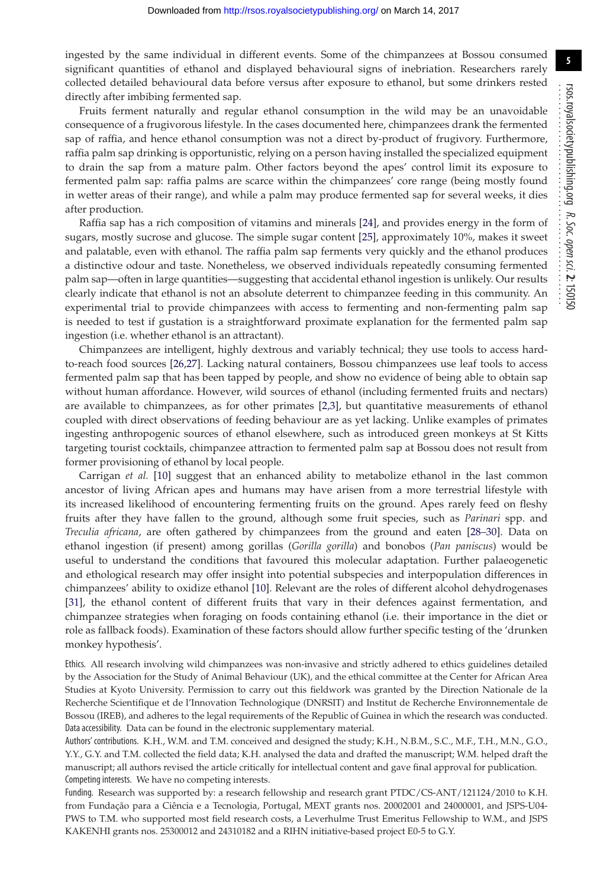ingested by the same individual in different events. Some of the chimpanzees at Bossou consumed significant quantities of ethanol and displayed behavioural signs of inebriation. Researchers rarely collected detailed behavioural data before versus after exposure to ethanol, but some drinkers rested directly after imbibing fermented sap.

<span id="page-5-21"></span><span id="page-5-12"></span><span id="page-5-11"></span><span id="page-5-0"></span>Fruits ferment naturally and regular ethanol consumption in the wild may be an unavoidable consequence of a frugivorous lifestyle. In the cases documented here, chimpanzees drank the fermented sap of raffia, and hence ethanol consumption was not a direct by-product of frugivory. Furthermore, raffia palm sap drinking is opportunistic, relying on a person having installed the specialized equipment to drain the sap from a mature palm. Other factors beyond the apes' control limit its exposure to fermented palm sap: raffia palms are scarce within the chimpanzees' core range (being mostly found in wetter areas of their range), and while a palm may produce fermented sap for several weeks, it dies after production.

<span id="page-5-23"></span><span id="page-5-22"></span><span id="page-5-13"></span><span id="page-5-3"></span><span id="page-5-2"></span><span id="page-5-1"></span>Raffia sap has a rich composition of vitamins and minerals [\[24\]](#page-5-23), and provides energy in the form of sugars, mostly sucrose and glucose. The simple sugar content [\[25\]](#page-5-24), approximately 10%, makes it sweet and palatable, even with ethanol. The raffia palm sap ferments very quickly and the ethanol produces a distinctive odour and taste. Nonetheless, we observed individuals repeatedly consuming fermented palm sap—often in large quantities—suggesting that accidental ethanol ingestion is unlikely. Our results clearly indicate that ethanol is not an absolute deterrent to chimpanzee feeding in this community. An experimental trial to provide chimpanzees with access to fermenting and non-fermenting palm sap is needed to test if gustation is a straightforward proximate explanation for the fermented palm sap ingestion (i.e. whether ethanol is an attractant).

<span id="page-5-26"></span><span id="page-5-25"></span><span id="page-5-24"></span><span id="page-5-15"></span><span id="page-5-14"></span><span id="page-5-5"></span><span id="page-5-4"></span>Chimpanzees are intelligent, highly dextrous and variably technical; they use tools to access hardto-reach food sources [\[26,](#page-5-25)[27\]](#page-5-26). Lacking natural containers, Bossou chimpanzees use leaf tools to access fermented palm sap that has been tapped by people, and show no evidence of being able to obtain sap without human affordance. However, wild sources of ethanol (including fermented fruits and nectars) are available to chimpanzees, as for other primates [\[2](#page-5-1)[,3\]](#page-5-2), but quantitative measurements of ethanol coupled with direct observations of feeding behaviour are as yet lacking. Unlike examples of primates ingesting anthropogenic sources of ethanol elsewhere, such as introduced green monkeys at St Kitts targeting tourist cocktails, chimpanzee attraction to fermented palm sap at Bossou does not result from former provisioning of ethanol by local people.

<span id="page-5-28"></span><span id="page-5-27"></span><span id="page-5-19"></span><span id="page-5-18"></span><span id="page-5-17"></span><span id="page-5-16"></span><span id="page-5-9"></span><span id="page-5-8"></span><span id="page-5-7"></span><span id="page-5-6"></span>Carrigan *et al.* [\[10\]](#page-5-9) suggest that an enhanced ability to metabolize ethanol in the last common ancestor of living African apes and humans may have arisen from a more terrestrial lifestyle with its increased likelihood of encountering fermenting fruits on the ground. Apes rarely feed on fleshy fruits after they have fallen to the ground, although some fruit species, such as *Parinari* spp. and *Treculia africana*, are often gathered by chimpanzees from the ground and eaten [\[28–](#page-5-27)[30\]](#page-5-28). Data on ethanol ingestion (if present) among gorillas (*Gorilla gorilla*) and bonobos (*Pan paniscus*) would be useful to understand the conditions that favoured this molecular adaptation. Further palaeogenetic and ethological research may offer insight into potential subspecies and interpopulation differences in chimpanzees' ability to oxidize ethanol [\[10\]](#page-5-9). Relevant are the roles of different alcohol dehydrogenases [\[31\]](#page-5-29), the ethanol content of different fruits that vary in their defences against fermentation, and chimpanzee strategies when foraging on foods containing ethanol (i.e. their importance in the diet or role as fallback foods). Examination of these factors should allow further specific testing of the 'drunken monkey hypothesis'.

<span id="page-5-29"></span><span id="page-5-20"></span><span id="page-5-10"></span>Ethics. All research involving wild chimpanzees was non-invasive and strictly adhered to ethics guidelines detailed by the Association for the Study of Animal Behaviour (UK), and the ethical committee at the Center for African Area Studies at Kyoto University. Permission to carry out this fieldwork was granted by the Direction Nationale de la Recherche Scientifique et de l'Innovation Technologique (DNRSIT) and Institut de Recherche Environnementale de Bossou (IREB), and adheres to the legal requirements of the Republic of Guinea in which the research was conducted. Data accessibility. Data can be found in the electronic supplementary material.

Authors' contributions. K.H., W.M. and T.M. conceived and designed the study; K.H., N.B.M., S.C., M.F., T.H., M.N., G.O., Y.Y., G.Y. and T.M. collected the field data; K.H. analysed the data and drafted the manuscript; W.M. helped draft the manuscript; all authors revised the article critically for intellectual content and gave final approval for publication. Competing interests. We have no competing interests.

Funding. Research was supported by: a research fellowship and research grant PTDC/CS-ANT/121124/2010 to K.H. from Fundação para a Ciência e a Tecnologia, Portugal, MEXT grants nos. 20002001 and 24000001, and JSPS-U04- PWS to T.M. who supported most field research costs, a Leverhulme Trust Emeritus Fellowship to W.M., and JSPS KAKENHI grants nos. 25300012 and 24310182 and a RIHN initiative-based project E0-5 to G.Y.